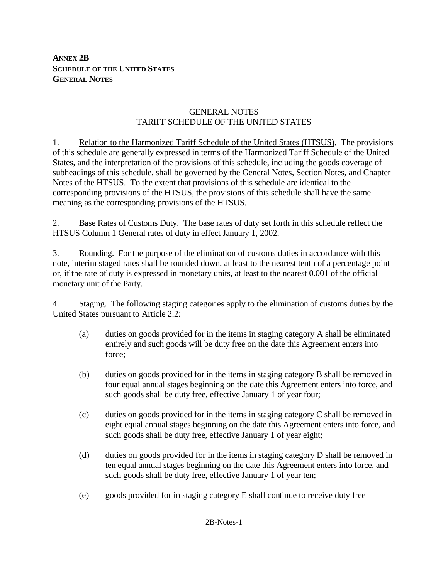**ANNEX 2B SCHEDULE OF THE UNITED STATES GENERAL NOTES**

# GENERAL NOTES TARIFF SCHEDULE OF THE UNITED STATES

1. Relation to the Harmonized Tariff Schedule of the United States (HTSUS). The provisions of this schedule are generally expressed in terms of the Harmonized Tariff Schedule of the United States, and the interpretation of the provisions of this schedule, including the goods coverage of subheadings of this schedule, shall be governed by the General Notes, Section Notes, and Chapter Notes of the HTSUS. To the extent that provisions of this schedule are identical to the corresponding provisions of the HTSUS, the provisions of this schedule shall have the same meaning as the corresponding provisions of the HTSUS.

2. Base Rates of Customs Duty. The base rates of duty set forth in this schedule reflect the HTSUS Column 1 General rates of duty in effect January 1, 2002.

3. Rounding. For the purpose of the elimination of customs duties in accordance with this note, interim staged rates shall be rounded down, at least to the nearest tenth of a percentage point or, if the rate of duty is expressed in monetary units, at least to the nearest 0.001 of the official monetary unit of the Party.

4. Staging. The following staging categories apply to the elimination of customs duties by the United States pursuant to Article 2.2:

- (a) duties on goods provided for in the items in staging category A shall be eliminated entirely and such goods will be duty free on the date this Agreement enters into force;
- (b) duties on goods provided for in the items in staging category B shall be removed in four equal annual stages beginning on the date this Agreement enters into force, and such goods shall be duty free, effective January 1 of year four;
- (c) duties on goods provided for in the items in staging category C shall be removed in eight equal annual stages beginning on the date this Agreement enters into force, and such goods shall be duty free, effective January 1 of year eight;
- (d) duties on goods provided for in the items in staging category D shall be removed in ten equal annual stages beginning on the date this Agreement enters into force, and such goods shall be duty free, effective January 1 of year ten;
- (e) goods provided for in staging category E shall continue to receive duty free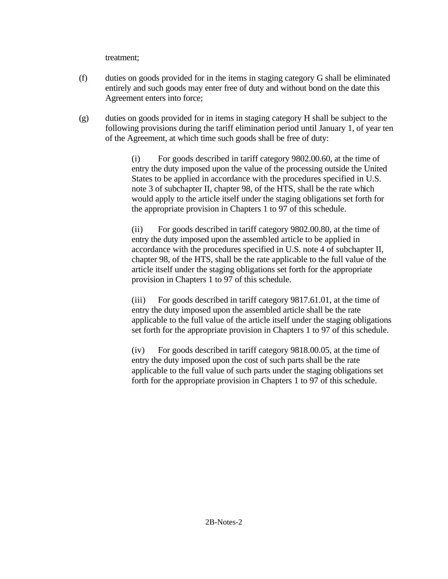treatment;

- (f) duties on goods provided for in the items in staging category G shall be eliminated entirely and such goods may enter free of duty and without bond on the date this Agreement enters into force;
- (g) duties on goods provided for in items in staging category H shall be subject to the following provisions during the tariff elimination period until January 1, of year ten of the Agreement, at which time such goods shall be free of duty:

(i) For goods described in tariff category 9802.00.60, at the time of entry the duty imposed upon the value of the processing outside the United States to be applied in accordance with the procedures specified in U.S. note 3 of subchapter II, chapter 98, of the HTS, shall be the rate which would apply to the article itself under the staging obligations set forth for the appropriate provision in Chapters 1 to 97 of this schedule.

(ii) For goods described in tariff category 9802.00.80, at the time of entry the duty imposed upon the assembled article to be applied in accordance with the procedures specified in U.S. note 4 of subchapter II, chapter 98, of the HTS, shall be the rate applicable to the full value of the article itself under the staging obligations set forth for the appropriate provision in Chapters 1 to 97 of this schedule.

(iii) For goods described in tariff category 9817.61.01, at the time of entry the duty imposed upon the assembled article shall be the rate applicable to the full value of the article itself under the staging obligations set forth for the appropriate provision in Chapters 1 to 97 of this schedule.

(iv) For goods described in tariff category 9818.00.05, at the time of entry the duty imposed upon the cost of such parts shall be the rate applicable to the full value of such parts under the staging obligations set forth for the appropriate provision in Chapters 1 to 97 of this schedule.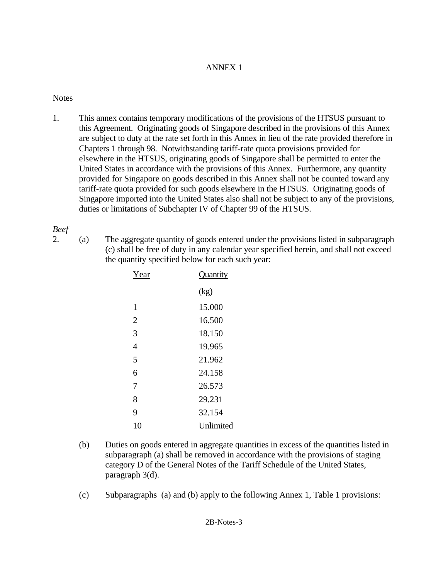# ANNEX 1

# **Notes**

1. This annex contains temporary modifications of the provisions of the HTSUS pursuant to this Agreement. Originating goods of Singapore described in the provisions of this Annex are subject to duty at the rate set forth in this Annex in lieu of the rate provided therefore in Chapters 1 through 98. Notwithstanding tariff-rate quota provisions provided for elsewhere in the HTSUS, originating goods of Singapore shall be permitted to enter the United States in accordance with the provisions of this Annex. Furthermore, any quantity provided for Singapore on goods described in this Annex shall not be counted toward any tariff-rate quota provided for such goods elsewhere in the HTSUS. Originating goods of Singapore imported into the United States also shall not be subject to any of the provisions, duties or limitations of Subchapter IV of Chapter 99 of the HTSUS.

# *Beef*

- 
- 2. (a) The aggregate quantity of goods entered under the provisions listed in subparagraph (c) shall be free of duty in any calendar year specified herein, and shall not exceed the quantity specified below for each such year:

| Year           | Quantity  |
|----------------|-----------|
|                | (kg)      |
| 1              | 15.000    |
| $\overline{2}$ | 16.500    |
| 3              | 18.150    |
| 4              | 19.965    |
| 5              | 21.962    |
| 6              | 24.158    |
| 7              | 26.573    |
| 8              | 29.231    |
| 9              | 32.154    |
| 10             | Unlimited |
|                |           |

- (b) Duties on goods entered in aggregate quantities in excess of the quantities listed in subparagraph (a) shall be removed in accordance with the provisions of staging category D of the General Notes of the Tariff Schedule of the United States, paragraph 3(d).
- (c) Subparagraphs (a) and (b) apply to the following Annex 1, Table 1 provisions: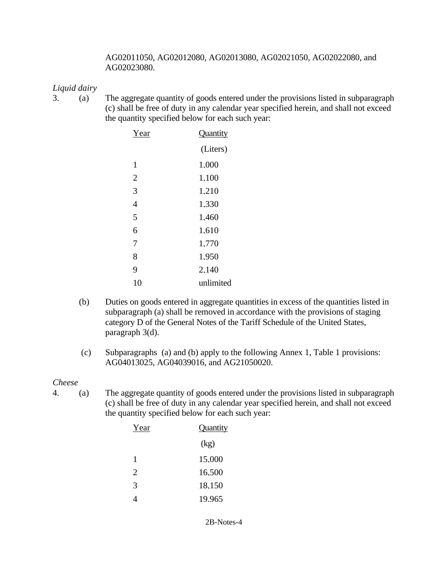## AG02011050, AG02012080, AG02013080, AG02021050, AG02022080, and AG02023080.

# *Liquid dairy*

3. (a) The aggregate quantity of goods entered under the provisions listed in subparagraph (c) shall be free of duty in any calendar year specified herein, and shall not exceed the quantity specified below for each such year:

| Year           | <b>Quantity</b> |
|----------------|-----------------|
|                | (Liters)        |
| 1              | 1.000           |
| $\overline{2}$ | 1,100           |
| 3              | 1.210           |
| 4              | 1.330           |
| 5              | 1.460           |
| 6              | 1.610           |
| 7              | 1.770           |
| 8              | 1.950           |
| 9              | 2.140           |
| 10             | unlimited       |

- (b) Duties on goods entered in aggregate quantities in excess of the quantities listed in subparagraph (a) shall be removed in accordance with the provisions of staging category D of the General Notes of the Tariff Schedule of the United States, paragraph 3(d).
- (c) Subparagraphs (a) and (b) apply to the following Annex 1, Table 1 provisions: AG04013025, AG04039016, and AG21050020.

# *Cheese*

4. (a) The aggregate quantity of goods entered under the provisions listed in subparagraph (c) shall be free of duty in any calendar year specified herein, and shall not exceed the quantity specified below for each such year:

| Year | Quantity |
|------|----------|
|      | (kg)     |
| 1    | 15,000   |
| 2    | 16.500   |
| 3    | 18.150   |
|      | 19.965   |

2B-Notes-4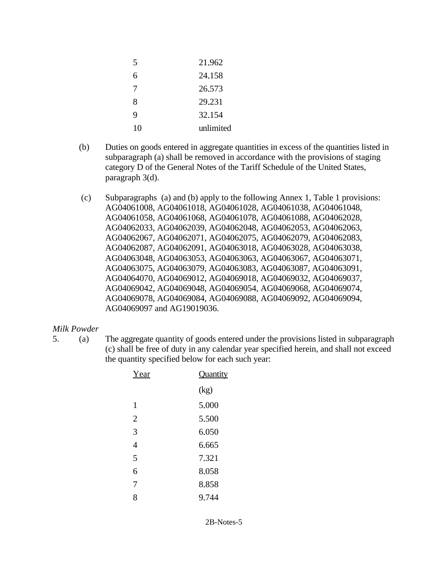| 5  | 21.962    |
|----|-----------|
| 6  | 24.158    |
| 7  | 26.573    |
| 8  | 29.231    |
| Q  | 32.154    |
| 10 | unlimited |

- (b) Duties on goods entered in aggregate quantities in excess of the quantities listed in subparagraph (a) shall be removed in accordance with the provisions of staging category D of the General Notes of the Tariff Schedule of the United States, paragraph 3(d).
- (c) Subparagraphs (a) and (b) apply to the following Annex 1, Table 1 provisions: AG04061008, AG04061018, AG04061028, AG04061038, AG04061048, AG04061058, AG04061068, AG04061078, AG04061088, AG04062028, AG04062033, AG04062039, AG04062048, AG04062053, AG04062063, AG04062067, AG04062071, AG04062075, AG04062079, AG04062083, AG04062087, AG04062091, AG04063018, AG04063028, AG04063038, AG04063048, AG04063053, AG04063063, AG04063067, AG04063071, AG04063075, AG04063079, AG04063083, AG04063087, AG04063091, AG04064070, AG04069012, AG04069018, AG04069032, AG04069037, AG04069042, AG04069048, AG04069054, AG04069068, AG04069074, AG04069078, AG04069084, AG04069088, AG04069092, AG04069094, AG04069097 and AG19019036.

## *Milk Powder*

5. (a) The aggregate quantity of goods entered under the provisions listed in subparagraph (c) shall be free of duty in any calendar year specified herein, and shall not exceed the quantity specified below for each such year:

| Year           | Quantity |
|----------------|----------|
|                | (kg)     |
| 1              | 5.000    |
| $\overline{2}$ | 5.500    |
| 3              | 6.050    |
| $\overline{4}$ | 6.665    |
| 5              | 7.321    |
| 6              | 8.058    |
| 7              | 8.858    |
| 8              | 9.744    |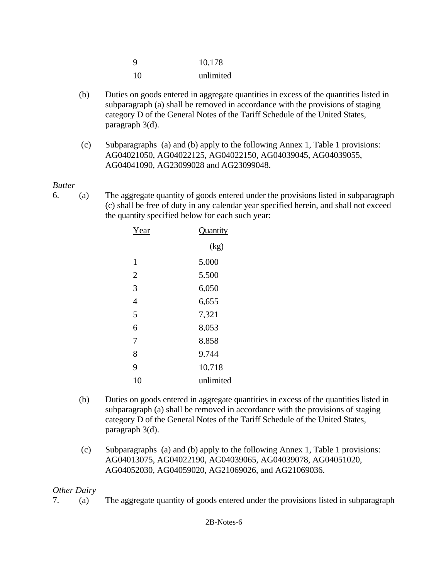| 9  | 10.178    |
|----|-----------|
| 10 | unlimited |

- (b) Duties on goods entered in aggregate quantities in excess of the quantities listed in subparagraph (a) shall be removed in accordance with the provisions of staging category D of the General Notes of the Tariff Schedule of the United States, paragraph 3(d).
- (c) Subparagraphs (a) and (b) apply to the following Annex 1, Table 1 provisions: AG04021050, AG04022125, AG04022150, AG04039045, AG04039055, AG04041090, AG23099028 and AG23099048.

## *Butter*

6. (a) The aggregate quantity of goods entered under the provisions listed in subparagraph (c) shall be free of duty in any calendar year specified herein, and shall not exceed the quantity specified below for each such year:

| Year           | Quantity  |
|----------------|-----------|
|                | (kg)      |
| 1              | 5.000     |
| $\overline{2}$ | 5,500     |
| 3              | 6.050     |
| $\overline{4}$ | 6.655     |
| 5              | 7.321     |
| 6              | 8.053     |
| 7              | 8.858     |
| 8              | 9.744     |
| 9              | 10.718    |
| 10             | unlimited |
|                |           |

- (b) Duties on goods entered in aggregate quantities in excess of the quantities listed in subparagraph (a) shall be removed in accordance with the provisions of staging category D of the General Notes of the Tariff Schedule of the United States, paragraph 3(d).
- (c) Subparagraphs (a) and (b) apply to the following Annex 1, Table 1 provisions: AG04013075, AG04022190, AG04039065, AG04039078, AG04051020, AG04052030, AG04059020, AG21069026, and AG21069036.

# *Other Dairy*

7. (a) The aggregate quantity of goods entered under the provisions listed in subparagraph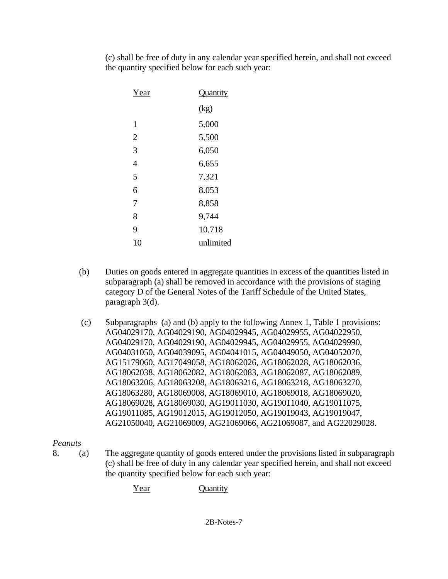(c) shall be free of duty in any calendar year specified herein, and shall not exceed the quantity specified below for each such year:

| Year           | Quantity  |
|----------------|-----------|
|                | (kg)      |
| 1              | 5.000     |
| $\overline{2}$ | 5.500     |
| 3              | 6.050     |
| 4              | 6.655     |
| 5              | 7.321     |
| 6              | 8.053     |
| 7              | 8.858     |
| 8              | 9.744     |
| 9              | 10.718    |
| 10             | unlimited |
|                |           |

- (b) Duties on goods entered in aggregate quantities in excess of the quantities listed in subparagraph (a) shall be removed in accordance with the provisions of staging category D of the General Notes of the Tariff Schedule of the United States, paragraph 3(d).
- (c) Subparagraphs (a) and (b) apply to the following Annex 1, Table 1 provisions: AG04029170, AG04029190, AG04029945, AG04029955, AG04022950, AG04029170, AG04029190, AG04029945, AG04029955, AG04029990, AG04031050, AG04039095, AG04041015, AG04049050, AG04052070, AG15179060, AG17049058, AG18062026, AG18062028, AG18062036, AG18062038, AG18062082, AG18062083, AG18062087, AG18062089, AG18063206, AG18063208, AG18063216, AG18063218, AG18063270, AG18063280, AG18069008, AG18069010, AG18069018, AG18069020, AG18069028, AG18069030, AG19011030, AG19011040, AG19011075, AG19011085, AG19012015, AG19012050, AG19019043, AG19019047, AG21050040, AG21069009, AG21069066, AG21069087, and AG22029028.

# *Peanuts*

- 8. (a) The aggregate quantity of goods entered under the provisions listed in subparagraph (c) shall be free of duty in any calendar year specified herein, and shall not exceed the quantity specified below for each such year:
	- Year **Quantity**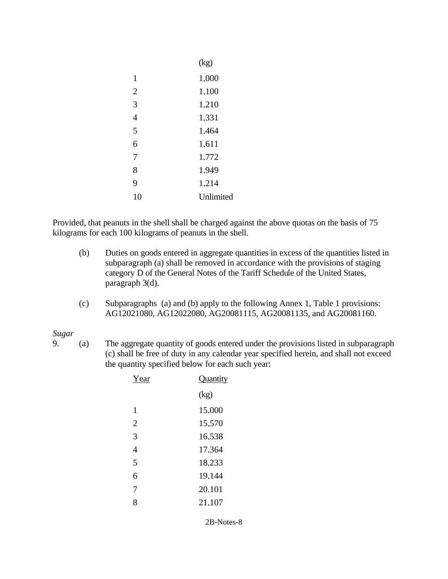|                | (kg)      |
|----------------|-----------|
| 1              | 1.000     |
| $\overline{2}$ | 1.100     |
| 3              | 1.210     |
| 4              | 1.331     |
| 5              | 1.464     |
| 6              | 1.611     |
| 7              | 1.772     |
| 8              | 1.949     |
| 9              | 1.214     |
| 10             | Unlimited |

Provided, that peanuts in the shell shall be charged against the above quotas on the basis of 75 kilograms for each 100 kilograms of peanuts in the shell.

- (b) Duties on goods entered in aggregate quantities in excess of the quantities listed in subparagraph (a) shall be removed in accordance with the provisions of staging category D of the General Notes of the Tariff Schedule of the United States, paragraph 3(d).
- (c) Subparagraphs (a) and (b) apply to the following Annex 1, Table 1 provisions: AG12021080, AG12022080, AG20081115, AG20081135, and AG20081160.

*Sugar*

9. (a) The aggregate quantity of goods entered under the provisions listed in subparagraph (c) shall be free of duty in any calendar year specified herein, and shall not exceed the quantity specified below for each such year:

| Year           | Quantity |
|----------------|----------|
|                | (kg)     |
| 1              | 15.000   |
| $\overline{2}$ | 15.570   |
| 3              | 16.538   |
| 4              | 17.364   |
| 5              | 18.233   |
| 6              | 19.144   |
| 7              | 20.101   |
| 8              | 21.107   |

2B-Notes-8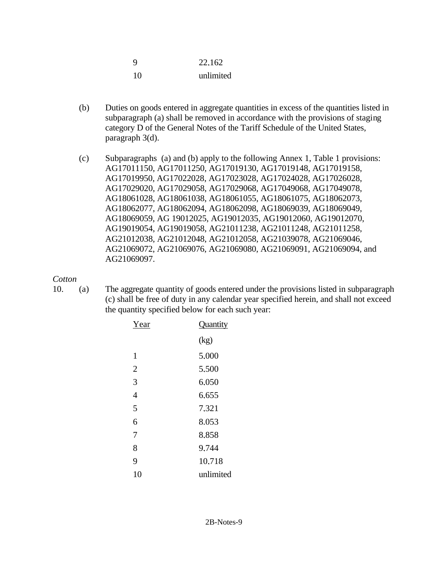| 9  | 22,162    |
|----|-----------|
| 10 | unlimited |

- (b) Duties on goods entered in aggregate quantities in excess of the quantities listed in subparagraph (a) shall be removed in accordance with the provisions of staging category D of the General Notes of the Tariff Schedule of the United States, paragraph 3(d).
- (c) Subparagraphs (a) and (b) apply to the following Annex 1, Table 1 provisions: AG17011150, AG17011250, AG17019130, AG17019148, AG17019158, AG17019950, AG17022028, AG17023028, AG17024028, AG17026028, AG17029020, AG17029058, AG17029068, AG17049068, AG17049078, AG18061028, AG18061038, AG18061055, AG18061075, AG18062073, AG18062077, AG18062094, AG18062098, AG18069039, AG18069049, AG18069059, AG 19012025, AG19012035, AG19012060, AG19012070, AG19019054, AG19019058, AG21011238, AG21011248, AG21011258, AG21012038, AG21012048, AG21012058, AG21039078, AG21069046, AG21069072, AG21069076, AG21069080, AG21069091, AG21069094, and AG21069097.

## *Cotton*

10. (a) The aggregate quantity of goods entered under the provisions listed in subparagraph (c) shall be free of duty in any calendar year specified herein, and shall not exceed the quantity specified below for each such year:

| Year           | Quantity  |
|----------------|-----------|
|                | (kg)      |
| 1              | 5.000     |
| $\overline{2}$ | 5.500     |
| 3              | 6.050     |
| 4              | 6.655     |
| 5              | 7.321     |
| 6              | 8.053     |
| 7              | 8.858     |
| 8              | 9.744     |
| 9              | 10.718    |
| 10             | unlimited |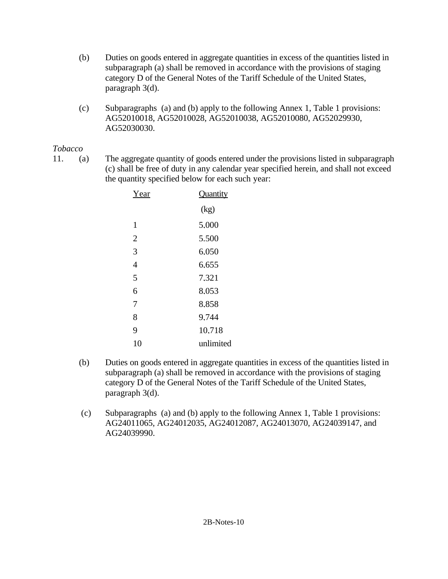- (b) Duties on goods entered in aggregate quantities in excess of the quantities listed in subparagraph (a) shall be removed in accordance with the provisions of staging category D of the General Notes of the Tariff Schedule of the United States, paragraph 3(d).
- (c) Subparagraphs (a) and (b) apply to the following Annex 1, Table 1 provisions: AG52010018, AG52010028, AG52010038, AG52010080, AG52029930, AG52030030.

# *Tobacco*

11. (a) The aggregate quantity of goods entered under the provisions listed in subparagraph (c) shall be free of duty in any calendar year specified herein, and shall not exceed the quantity specified below for each such year:

| Year           | Quantity  |
|----------------|-----------|
|                | (kg)      |
| 1              | 5.000     |
| $\overline{2}$ | 5.500     |
| 3              | 6.050     |
| $\overline{4}$ | 6.655     |
| 5              | 7.321     |
| 6              | 8.053     |
| 7              | 8.858     |
| 8              | 9.744     |
| 9              | 10.718    |
| 10             | unlimited |

- (b) Duties on goods entered in aggregate quantities in excess of the quantities listed in subparagraph (a) shall be removed in accordance with the provisions of staging category D of the General Notes of the Tariff Schedule of the United States, paragraph 3(d).
- (c) Subparagraphs (a) and (b) apply to the following Annex 1, Table 1 provisions: AG24011065, AG24012035, AG24012087, AG24013070, AG24039147, and AG24039990.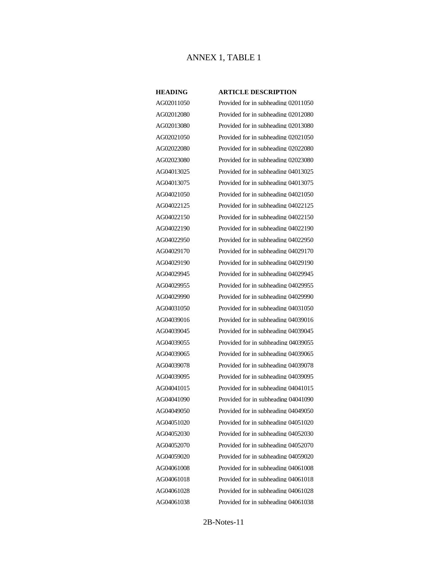### ANNEX 1, TABLE 1

### **HEADING ARTICLE DESCRIPTION**

AG02011050 Provided for in subheading 02011050

AG02012080 Provided for in subheading 02012080 AG02013080 Provided for in subheading 02013080 AG02021050 Provided for in subheading 02021050 AG02022080 Provided for in subheading 02022080 AG02023080 Provided for in subheading 02023080 AG04013025 Provided for in subheading 04013025 AG04013075 Provided for in subheading 04013075 AG04021050 Provided for in subheading 04021050 AG04022125 Provided for in subheading 04022125 AG04022150 Provided for in subheading 04022150 AG04022190 Provided for in subheading 04022190 AG04022950 Provided for in subheading 04022950 AG04029170 Provided for in subheading 04029170 AG04029190 Provided for in subheading 04029190 AG04029945 Provided for in subheading 04029945 AG04029955 Provided for in subheading 04029955 AG04029990 Provided for in subheading 04029990 AG04031050 Provided for in subheading 04031050 AG04039016 Provided for in subheading 04039016 AG04039045 Provided for in subheading 04039045 AG04039055 Provided for in subheading 04039055 AG04039065 Provided for in subheading 04039065 AG04039078 Provided for in subheading 04039078 AG04039095 Provided for in subheading 04039095 AG04041015 Provided for in subheading 04041015 AG04041090 Provided for in subheading 04041090 AG04049050 Provided for in subheading 04049050 AG04051020 Provided for in subheading 04051020 AG04052030 Provided for in subheading 04052030 AG04052070 Provided for in subheading 04052070 AG04059020 Provided for in subheading 04059020 AG04061008 Provided for in subheading 04061008 AG04061018 Provided for in subheading 04061018 AG04061028 Provided for in subheading 04061028 AG04061038 Provided for in subheading 04061038

2B-Notes-11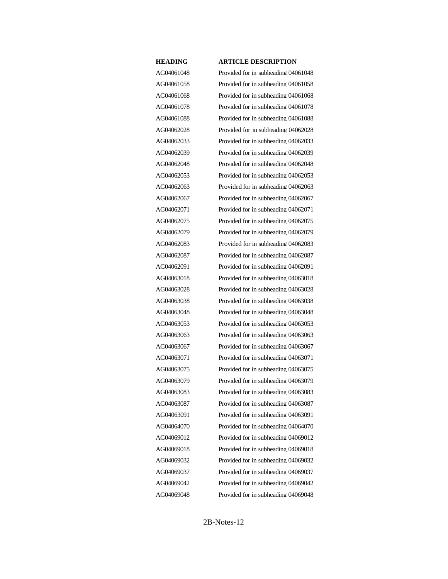AG04061048 Provided for in subheading 04061048 AG04061058 Provided for in subheading 04061058 AG04061068 Provided for in subheading 04061068 AG04061078 Provided for in subheading 04061078 AG04061088 Provided for in subheading 04061088 AG04062028 Provided for in subheading 04062028 AG04062033 Provided for in subheading 04062033 AG04062039 Provided for in subheading 04062039 AG04062048 Provided for in subheading 04062048 AG04062053 Provided for in subheading 04062053 AG04062063 Provided for in subheading 04062063 AG04062067 Provided for in subheading 04062067 AG04062071 Provided for in subheading 04062071 AG04062075 Provided for in subheading 04062075 AG04062079 Provided for in subheading 04062079 AG04062083 Provided for in subheading 04062083 AG04062087 Provided for in subheading 04062087 AG04062091 Provided for in subheading 04062091 AG04063018 Provided for in subheading 04063018 AG04063028 Provided for in subheading 04063028 AG04063038 Provided for in subheading 04063038 AG04063048 Provided for in subheading 04063048 AG04063053 Provided for in subheading 04063053 AG04063063 Provided for in subheading 04063063 AG04063067 Provided for in subheading 04063067 AG04063071 Provided for in subheading 04063071 AG04063075 Provided for in subheading 04063075 AG04063079 Provided for in subheading 04063079 AG04063083 Provided for in subheading 04063083 AG04063087 Provided for in subheading 04063087 AG04063091 Provided for in subheading 04063091 AG04064070 Provided for in subheading 04064070 AG04069012 Provided for in subheading 04069012 AG04069018 Provided for in subheading 04069018 AG04069032 Provided for in subheading 04069032 AG04069037 Provided for in subheading 04069037 AG04069042 Provided for in subheading 04069042 AG04069048 Provided for in subheading 04069048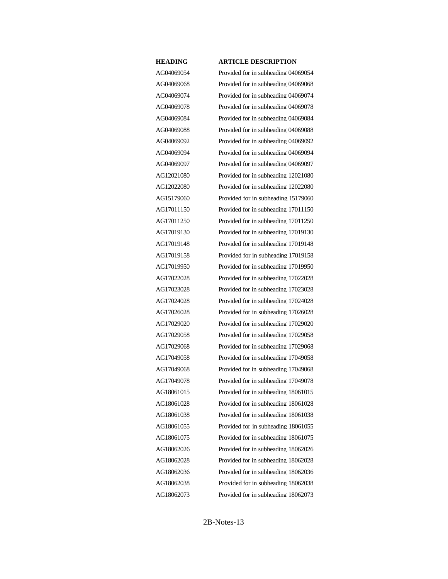AG04069054 Provided for in subheading 04069054 AG04069068 Provided for in subheading 04069068 AG04069074 Provided for in subheading 04069074 AG04069078 Provided for in subheading 04069078 AG04069084 Provided for in subheading 04069084 AG04069088 Provided for in subheading 04069088 AG04069092 Provided for in subheading 04069092 AG04069094 Provided for in subheading 04069094 AG04069097 Provided for in subheading 04069097 AG12021080 Provided for in subheading 12021080 AG12022080 Provided for in subheading 12022080 AG15179060 Provided for in subheading 15179060 AG17011150 Provided for in subheading 17011150 AG17011250 Provided for in subheading 17011250 AG17019130 Provided for in subheading 17019130 AG17019148 Provided for in subheading 17019148 AG17019158 Provided for in subheading 17019158 AG17019950 Provided for in subheading 17019950 AG17022028 Provided for in subheading 17022028 AG17023028 Provided for in subheading 17023028 AG17024028 Provided for in subheading 17024028 AG17026028 Provided for in subheading 17026028 AG17029020 Provided for in subheading 17029020 AG17029058 Provided for in subheading 17029058 AG17029068 Provided for in subheading 17029068 AG17049058 Provided for in subheading 17049058 AG17049068 Provided for in subheading 17049068 AG17049078 Provided for in subheading 17049078 AG18061015 Provided for in subheading 18061015 AG18061028 Provided for in subheading 18061028 AG18061038 Provided for in subheading 18061038 AG18061055 Provided for in subheading 18061055 AG18061075 Provided for in subheading 18061075 AG18062026 Provided for in subheading 18062026 AG18062028 Provided for in subheading 18062028 AG18062036 Provided for in subheading 18062036 AG18062038 Provided for in subheading 18062038 AG18062073 Provided for in subheading 18062073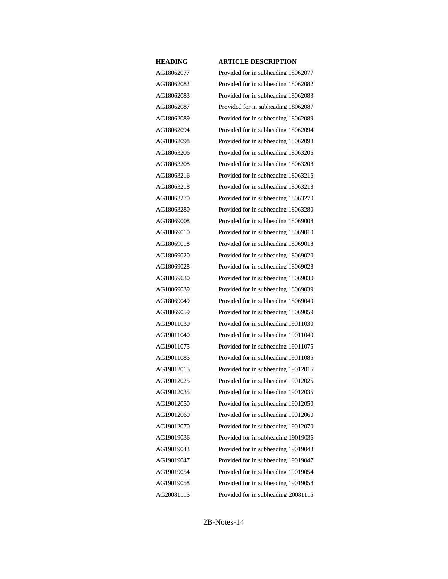AG18062077 Provided for in subheading 18062077 AG18062082 Provided for in subheading 18062082 AG18062083 Provided for in subheading 18062083 AG18062087 Provided for in subheading 18062087 AG18062089 Provided for in subheading 18062089 AG18062094 Provided for in subheading 18062094 AG18062098 Provided for in subheading 18062098 AG18063206 Provided for in subheading 18063206 AG18063208 Provided for in subheading 18063208 AG18063216 Provided for in subheading 18063216 AG18063218 Provided for in subheading 18063218 AG18063270 Provided for in subheading 18063270 AG18063280 Provided for in subheading 18063280 AG18069008 Provided for in subheading 18069008 AG18069010 Provided for in subheading 18069010 AG18069018 Provided for in subheading 18069018 AG18069020 Provided for in subheading 18069020 AG18069028 Provided for in subheading 18069028 AG18069030 Provided for in subheading 18069030 AG18069039 Provided for in subheading 18069039 AG18069049 Provided for in subheading 18069049 AG18069059 Provided for in subheading 18069059 AG19011030 Provided for in subheading 19011030 AG19011040 Provided for in subheading 19011040 AG19011075 Provided for in subheading 19011075 AG19011085 Provided for in subheading 19011085 AG19012015 Provided for in subheading 19012015 AG19012025 Provided for in subheading 19012025 AG19012035 Provided for in subheading 19012035 AG19012050 Provided for in subheading 19012050 AG19012060 Provided for in subheading 19012060 AG19012070 Provided for in subheading 19012070 AG19019036 Provided for in subheading 19019036 AG19019043 Provided for in subheading 19019043 AG19019047 Provided for in subheading 19019047 AG19019054 Provided for in subheading 19019054 AG19019058 Provided for in subheading 19019058 AG20081115 Provided for in subheading 20081115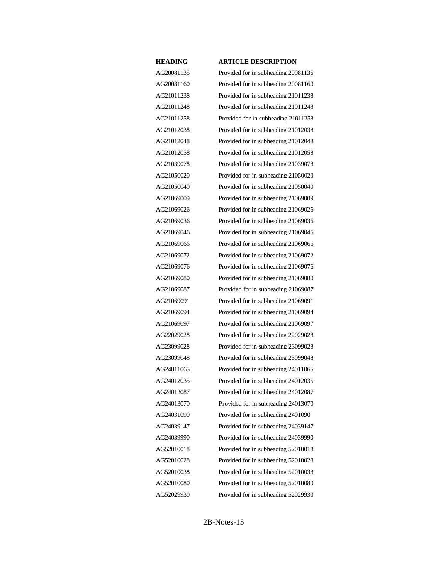AG20081135 Provided for in subheading 20081135 AG20081160 Provided for in subheading 20081160 AG21011238 Provided for in subheading 21011238 AG21011248 Provided for in subheading 21011248 AG21011258 Provided for in subheading 21011258 AG21012038 Provided for in subheading 21012038 AG21012048 Provided for in subheading 21012048 AG21012058 Provided for in subheading 21012058 AG21039078 Provided for in subheading 21039078 AG21050020 Provided for in subheading 21050020 AG21050040 Provided for in subheading 21050040 AG21069009 Provided for in subheading 21069009 AG21069026 Provided for in subheading 21069026 AG21069036 Provided for in subheading 21069036 AG21069046 Provided for in subheading 21069046 AG21069066 Provided for in subheading 21069066 AG21069072 Provided for in subheading 21069072 AG21069076 Provided for in subheading 21069076 AG21069080 Provided for in subheading 21069080 AG21069087 Provided for in subheading 21069087 AG21069091 Provided for in subheading 21069091 AG21069094 Provided for in subheading 21069094 AG21069097 Provided for in subheading 21069097 AG22029028 Provided for in subheading 22029028 AG23099028 Provided for in subheading 23099028 AG23099048 Provided for in subheading 23099048 AG24011065 Provided for in subheading 24011065 AG24012035 Provided for in subheading 24012035 AG24012087 Provided for in subheading 24012087 AG24013070 Provided for in subheading 24013070 AG24031090 Provided for in subheading 2401090 AG24039147 Provided for in subheading 24039147 AG24039990 Provided for in subheading 24039990 AG52010018 Provided for in subheading 52010018 AG52010028 Provided for in subheading 52010028 AG52010038 Provided for in subheading 52010038 AG52010080 Provided for in subheading 52010080 AG52029930 Provided for in subheading 52029930